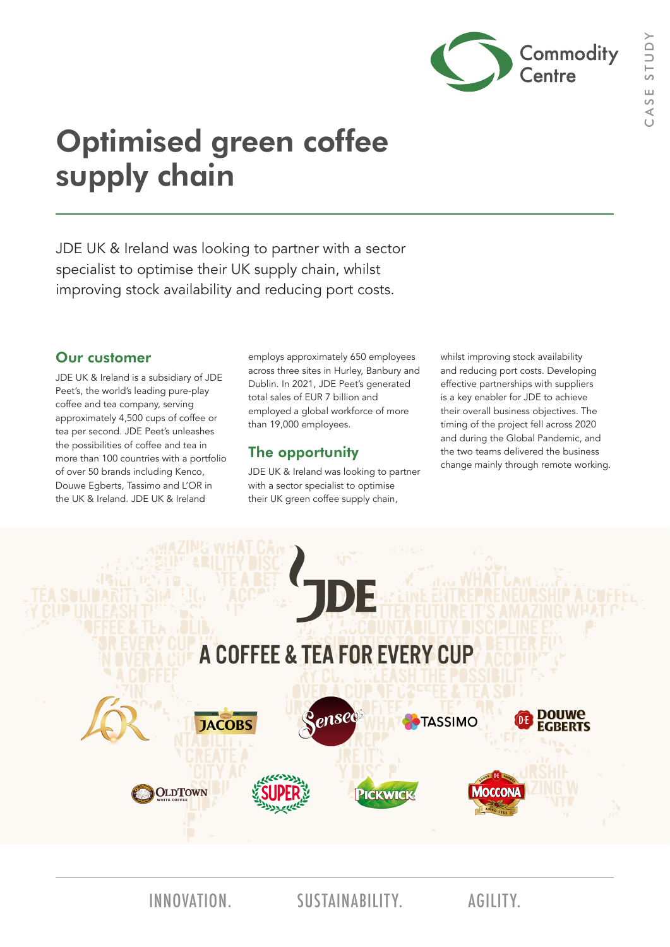

# Optimised green coffee supply chain

JDE UK & Ireland was looking to partner with a sector specialist to optimise their UK supply chain, whilst improving stock availability and reducing port costs.

#### Our customer

JDE UK & Ireland is a subsidiary of JDE Peet's, the world's leading pure-play coffee and tea company, serving approximately 4,500 cups of coffee or tea per second. JDE Peet's unleashes the possibilities of coffee and tea in more than 100 countries with a portfolio of over 50 brands including Kenco, Douwe Egberts, Tassimo and L'OR in the UK & Ireland. JDE UK & Ireland

employs approximately 650 employees across three sites in Hurley, Banbury and Dublin. In 2021, JDE Peet's generated total sales of EUR 7 billion and employed a global workforce of more than 19,000 employees.

### The opportunity

JDE UK & Ireland was looking to partner with a sector specialist to optimise their UK green coffee supply chain,

whilst improving stock availability and reducing port costs. Developing effective partnerships with suppliers is a key enabler for JDE to achieve their overall business objectives. The timing of the project fell across 2020 and during the Global Pandemic, and the two teams delivered the business change mainly through remote working.



INNOVATION. SUSTAINABILITY. AGILITY.